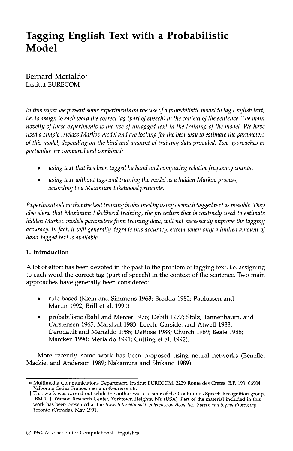# **Tagging English Text with a Probabilistic Model**

Bernard Merialdo\*<sup>†</sup> Institut EURECOM

*In this paper we present some experiments on the use of a probabilistic model to tag English text, i.e. to assign to each word the correct tag (part of speech) in the context of the sentence. The main novelty of these experiments is the use of untagged text in the training of the model. We have used a simple triclass Marlcov model and are looking for the best way to estimate the parameters of this model, depending on the kind and amount of training data provided. Two approaches in particular are compared and combined:* 

- *using text that has been tagged by hand and computing relative frequency counts,*
- *using text without tags and training the model as a hidden Markov process, according to a Maximum Likelihood principle.*

*Experiments show that the best training is obtained by using as much tagged text as possible. They also show that Maximum Likelihood training, the procedure that is routinely used to estimate hidden Markov models parameters from training data, will not necessarily improve the tagging accuracy. In fact, it will generally degrade this accuracy, except when only a limited amount of hand-tagged text is available.* 

# **1. Introduction**

A lot of effort has been devoted in the past to the problem of tagging text, i.e. assigning to each word the correct tag (part of speech) in the context of the sentence. Two main approaches have generally been considered:

- rule-based (Klein and Simmons 1963; Brodda 1982; Paulussen and Martin 1992; Brill et al. 1990)
- probabilistic (Bahl and Mercer 1976; Debili 1977; Stolz, Tannenbaum, and Carstensen 1965; Marshall 1983; Leech, Garside, and Atwell 1983; Derouault and Merialdo 1986; DeRose 1988; Church 1989; Beale 1988; Marcken 1990; Merialdo 1991; Cutting et al. 1992).

More recently, some work has been proposed using neural networks (Benello, Mackie, and Anderson 1989; Nakamura and Shikano 1989).

Multimedia Communications Department, Institut EURECOM, 2229 Route des Cretes, B.P. 193, 06904 Valbonne Cedex France; merialdo@eurecom.fr.

t This work was carried out while the author was a visitor of the Continuous Speech Recognition group, IBM T. J. Watson Research Center, Yorktown Heights, NY (USA). Part of the material included in this work has been presented at the *IEEE International Conference on Acoustics, Speech and Signal Processing,*  Toronto (Canada), May 1991.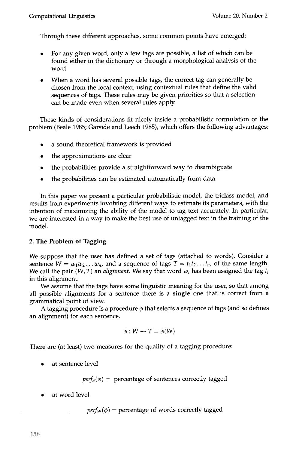Through these different approaches, some common points have emerged:

- For any given word, only a few tags are possible, a list of which can be  $\bullet$ found either in the dictionary or through a morphological analysis of the word.
- When a word has several possible tags, the correct tag can generally be  $\bullet$ chosen from the local context, using contextual rules that define the valid sequences of tags. These rules may be given priorities so that a selection can be made even when several rules apply.

These kinds of considerations fit nicely inside a probabilistic formulation of the problem (Beale 1985; Garside and Leech 1985), which offers the following advantages:

- a sound theoretical framework is provided
- the approximations are clear
- the probabilities provide a straightforward way to disambiguate
- the probabilities can be estimated automatically from data.

In this paper we present a particular probabilistic model, the triclass model, and results from experiments involving different ways to estimate its parameters, with the intention of maximizing the ability of the model to tag text accurately. In particular, we are interested in a way to make the best use of untagged text in the training of the model.

# **2. The Problem of Tagging**

We suppose that the user has defined a set of tags (attached to words). Consider a sentence  $W = w_1w_2...w_n$ , and a sequence of tags  $T = t_1t_2...t_n$ , of the same length. We call the pair (W, T) an *alignment.* We say that word *wi* has been assigned the tag *ti*  in this alignment.

We assume that the tags have some linguistic meaning for the user, so that among all possible alignments for a sentence there is a single one that is correct from a grammatical point of view.

A tagging procedure is a procedure  $\phi$  that selects a sequence of tags (and so defines an alignment) for each sentence.

$$
\phi: W \to T = \phi(W)
$$

There are (at least) two measures for the quality of a tagging procedure:

at sentence level

 $\text{perf}_S(\phi) = \text{ percentage of sentences correctly tagged}$ 

at word level

 $perf_W(\phi)$  = percentage of words correctly tagged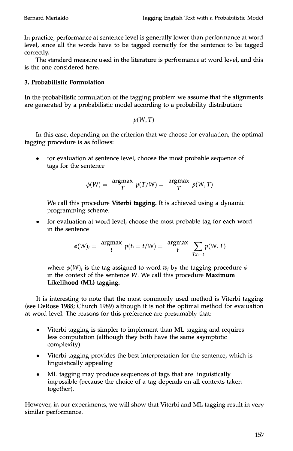In practice, performance at sentence level is generally lower than performance at word level, since all the words have to be tagged correctly for the sentence to be tagged correctly.

The standard measure used in the literature is performance at word level, and this is the one considered here.

# **3. Probabilistic Formulation**

In the probabilistic formulation of the tagging problem we assume that the alignments are generated by a probabilistic model according to a probability distribution:

*p(W,T)* 

In this case, depending on the criterion that we choose for evaluation, the optimal tagging procedure is as follows:

• for evaluation at sentence level, choose the most probable sequence of tags for the sentence

$$
\phi(W) = \frac{\text{argmax}}{T} p(T/W) = \frac{\text{argmax}}{T} p(W, T)
$$

We call this procedure Viterbi tagging. It is achieved using a dynamic programming scheme.

for evaluation at word level, choose the most probable tag for each word in the sentence

$$
\phi(W)_i = \underset{t}{\operatorname{argmax}} \ p(t_i = t/W) = \underset{t}{\operatorname{argmax}} \ \sum_{T:t_i=t} p(W,T)
$$

where  $\phi(W)_i$  is the tag assigned to word  $w_i$  by the tagging procedure  $\phi$ in the context of the sentence W, We call this procedure Maximum Likelihood (ML) tagging.

It is interesting to note that the most commonly used method is Viterbi tagging (see DeRose 1988; Church 1989) although it is not the optimal method for evaluation at word level. The reasons for this preference are presumably that:

- Viterbi tagging is simpler to implement than ML tagging and requires less computation (although they both have the same asymptotic complexity)
- Viterbi tagging provides the best interpretation for the sentence, which is linguistically appealing
- ML tagging may produce sequences of tags that are linguistically impossible (because the choice of a tag depends on all contexts taken together).

However, in our experiments, we will show that Viterbi and ML tagging result in very similar performance.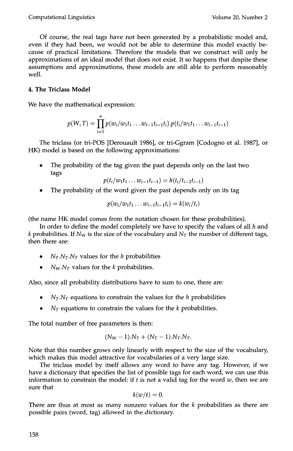Of course, the real tags have not been generated by a probabilistic model and, even if they had been, we would not be able to determine this model exactly because of practical limitations. Therefore the models that we construct will only be approximations of an ideal model that does not exist. It so happens that despite these assumptions and approximations, these models are still able to perform reasonably well.

# **4. The Triclass Model**

We have the mathematical expression:

$$
p(W,T) = \prod_{i=1}^{n} p(w_i/w_1t_1 \ldots w_{i-1}t_{i-1}t_i) \cdot p(t_i/w_1t_1 \ldots w_{i-1}t_{i-1})
$$

The triclass (or tri-POS [Derouault 1986], or tri-Ggram [Codogno et al. 1987], or HK) model is based on the following approximations:

The probability of the tag given the past depends only on the last two tags

$$
p(t_i/w_1t_1...w_{i-1}t_{i-1})=h(t_i/t_{i-2}t_{i-1})
$$

The probability of the word given the past depends only on its tag

$$
p(w_i/w_1t_1\ldots w_{i-1}t_{i-1}t_i)=k(w_i/t_i)
$$

(the name HK model comes from the notation chosen for these probabilities).

In order to define the model completely we have to specify the values of all  $h$  and k probabilities. If  $N_W$  is the size of the vocabulary and  $N_T$  the number of different tags, then there are:

- $N_T.N_T.N_T$  values for the *h* probabilities
- $N_W.N_T$  values for the k probabilities.

Also, since all probability distributions have to sum to one, there are:

- $N_T.N_T$  equations to constrain the values for the h probabilities
- $N_T$  equations to constrain the values for the k probabilities.

The total number of free parameters is then:

$$
(N_W - 1).N_T + (N_T - 1).N_T.N_T.
$$

Note that this number grows only linearly with respect to the size of the vocabulary, which makes this model attractive for vocabularies of a very large size.

The triclass model by itself allows any word to have any tag. However, if we have a dictionary that specifies the list of possible tags for each word, we can use this information to constrain the model: if  $t$  is not a valid tag for the word  $w$ , then we are sure that

$$
k(w/t)=0.
$$

There are thus at most as many nonzero values for the k probabilities as there are possible pairs (word, tag) allowed in the dictionary.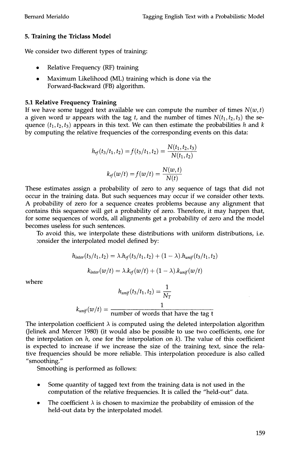# **5. Training the Triclass Model**

We consider two different types of training:

- Relative Frequency (RF) training
- Maximum Likelihood (ML) training which is done via the Forward-Backward (FB) algorithm.

# **5.1 Relative Frequency Training**

If we have some tagged text available we can compute the number of times  $N(w, t)$ a given word w appears with the tag t, and the number of times  $N(t_1, t_2, t_3)$  the sequence  $(t_1, t_2, t_3)$  appears in this text. We can then estimate the probabilities h and k by computing the relative frequencies of the corresponding events on this **data:** 

$$
h_{rf}(t_3/t_1, t_2) = f(t_3/t_1, t_2) = \frac{N(t_1, t_2, t_3)}{N(t_1, t_2)}
$$

$$
k_{rf}(w/t) = f(w/t) = \frac{N(w, t)}{N(t)}
$$

These estimates assign a probability of zero to any sequence of tags that did not occur in the training data. But such sequences may occur if we consider other texts. A probability of zero for a sequence creates problems because any alignment that contains this sequence will get a probability of zero. Therefore, it may happen that, for some sequences of words, all alignments get a probability of zero and the model becomes useless for such sentences.

To avoid this, we interpolate these distributions with uniform distributions, i.e. consider the interpolated model defined by:

$$
h_{\text{inter}}(t_3/t_1, t_2) = \lambda \cdot h_{\text{rf}}(t_3/t_1, t_2) + (1 - \lambda) \cdot h_{\text{unif}}(t_3/t_1, t_2)
$$

$$
k_{inter}(w/t) = \lambda \cdot k_{rf}(w/t) + (1 - \lambda) \cdot k_{unif}(w/t)
$$

where

$$
h_{unif}(t_3/t_1, t_2) = \frac{1}{N_T}
$$

$$
k_{unif}(w/t) = \frac{1}{\text{number of words that have the tag t}}
$$

The interpolation coefficient  $\lambda$  is computed using the deleted interpolation algorithm (Jelinek and Mercer 1980) (it would also be possible to use two coefficients, one for the interpolation on  $h$ , one for the interpolation on  $k$ ). The value of this coefficient is expected to increase if we increase the size of the training text, since the relative frequencies should be more reliable. This interpolation procedure is also called "smoothing."

Smoothing is performed as follows:

- Some quantity of tagged text from the training data is not used in the computation of the relative frequencies. It is called the "held-out" data.
- The coefficient  $\lambda$  is chosen to maximize the probability of emission of the held-out data by the interpolated model.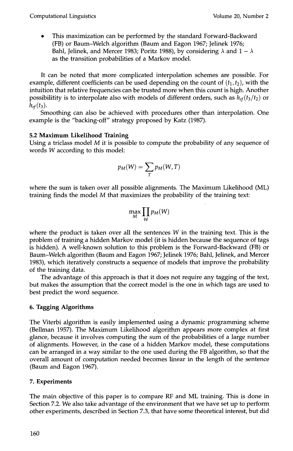This maximization can be performed by the standard Forward-Backward (FB) or Baum-Welch algorithm (Baum and Eagon 1967; Jelinek 1976; Bahl, Jelinek, and Mercer 1983; Poritz 1988), by considering  $\lambda$  and  $1 - \lambda$ as the transition probabilities of a Markov model.

It can be noted that more complicated interpolation schemes are possible. For example, different coefficients can be used depending on the count of  $(t_1, t_2)$ , with the intuition that relative frequencies can be trusted more when this count is high. Another possibilitity is to interpolate also with models of different orders, such as  $h_{rf}(t_3/t_2)$  or  $h_{rf}(t_3)$ .

Smoothing can also be achieved with procedures other than interpolation. One example is the "backing-off" strategy proposed by Katz (1987).

# **5.2 Maximum Likelihood Training**

Using a triclass model  $M$  it is possible to compute the probability of any sequence of words W according to this model:

$$
p_M(W) = \sum_T p_M(W, T)
$$

where the sum is taken over all possible alignments. The Maximum Likelihood (ML) training finds the model M that maximizes the probability of the training text:

$$
\max_{M}\prod_{W}p_M(W)
$$

where the product is taken over all the sentences  $W$  in the training text. This is the problem of training a hidden Markov model (it is hidden because the sequence of tags is hidden). A well-known solution to this problem is the Forward-Backward (FB) or Baum-Welch algorithm (Baum and Eagon 1967; Jelinek 1976; Bahl, Jelinek, and Mercer 1983), which iteratively constructs a sequence of models that improve the probability of the training data.

The advantage of this approach is that it does not require any tagging of the text, but makes the assumption that the correct model is the one in which tags are used to best predict the word sequence.

# **6. Tagging Algorithms**

The Viterbi algorithm is easily implemented using a dynamic programming scheme (Bellman 1957). The Maximum Likelihood algorithm appears more complex at first glance, because it involves computing the sum of the probabilities of a large number of alignments. However, in the case of a hidden Markov model, these computations can be arranged in a way similar to the one used during the FB algorithm, so that the overall amount of computation needed becomes linear in the length of the sentence (Baum and Eagon 1967).

# **7. Experiments**

The main objective of this paper is to compare RF and ML training. This is done in Section 7.2. We also take advantage of the environment that we have set up to perform other experiments, described in Section 7.3, that have some theoretical interest, but did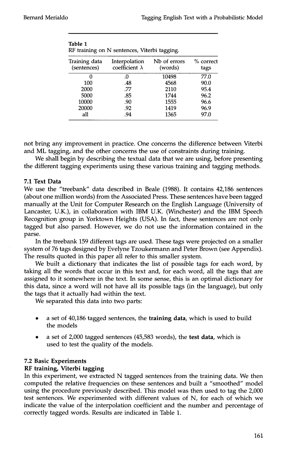| Interpolation<br>coefficient $\lambda$ | Nb of errors<br>(words) | % correct<br>tags                            |
|----------------------------------------|-------------------------|----------------------------------------------|
| Ω.                                     | 10498                   | 77.0                                         |
| .48                                    | 4568                    | 90.0                                         |
| .77                                    | 2110                    | 95.4                                         |
| .85                                    | 1744                    | 96.2                                         |
| .90                                    | 1555                    | 96.6                                         |
| .92                                    | 1419                    | 96.9                                         |
| .94                                    | 1365                    | 97.0                                         |
|                                        |                         | RF training on N sentences, Viterbi tagging. |

| Table 1                                      |  |  |
|----------------------------------------------|--|--|
| RF training on N sentences, Viterbi tagging. |  |  |

not bring any improvement in practice. One concerns the difference between Viterbi and ML tagging, and the other concerns the use of constraints during training.

We shall begin by describing the textual data that we are using, before presenting the different tagging experiments using these various training and tagging methods.

# **7.1 Text Data**

We use the "treebank" data described in Beale (1988). It contains 42,186 sentences (about one million words) from the Associated Press. These sentences have been tagged manually at the Unit for Computer Research on the English Language (University of Lancaster, U.K.), in collaboration with IBM U.K. (Winchester) and the IBM Speech Recognition group in Yorktown Heights (USA). In fact, these sentences are not only tagged but also parsed. However, we do not use the information contained in the parse.

In the treebank 159 different tags are used. These tags were projected on a smaller system of 76 tags designed by Evelyne Tzoukermann and Peter Brown (see Appendix). The results quoted in this paper all refer to this smaller system.

We built a dictionary that indicates the list of possible tags for each word, by taking all the words that occur in this text and, for each word, all the tags that are assigned to it somewhere in the text. In some sense, this is an optimal dictionary for this data, since a word will not have all its possible tags (in the language), but only the tags that it actually had within the text.

We separated this data into two parts:

- **a** set of 40,186 tagged sentences, the **training data, which is** used to build the models
- a set of 2,000 tagged sentences (45,583 words), the **test data,** which is used to test the quality of the models.

# **7.2 Basic Experiments**

# **RF training, Viterbi tagging**

In this experiment, we extracted N tagged sentences from the training data. We then computed the relative frequencies on these sentences and built a "smoothed" model using the procedure previously described. This model was then used to tag the 2,000 test sentences. We experimented with different values of N, for each of which we indicate the value of the interpolation coefficient and the number and percentage of correctly tagged words. Results are indicated in Table 1.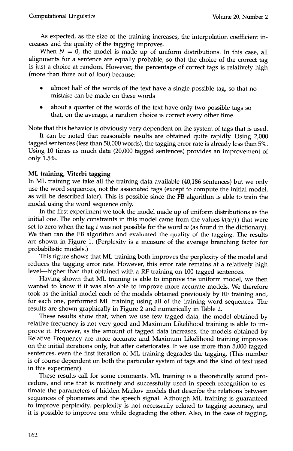As expected, as the size of the training increases, the interpolation coefficient increases and the quality of the tagging improves.

When  $N = 0$ , the model is made up of uniform distributions. In this case, all alignments for a sentence are equally probable, so that the choice of the correct tag is just a choice at random. However, the percentage of correct tags is relatively high (more than three out of four) because:

- almost half of the words of the text have a single possible tag, so that no mistake can be made on these words
- about a quarter of the words of the text have only two possible tags so that, on the average, a random choice is correct every other time.

Note that this behavior is obviously very dependent on the system of tags that is used.

It can be noted that reasonable results are obtained quite rapidly. Using 2,000 tagged sentences (less than 50,000 words), the tagging error rate is already less than 5%. Using 10 times as much data (20,000 tagged sentences) provides an improvement of only 1.5%.

#### **ML training, Viterbi tagging**

In ML training we take all the training data available (40,186 sentences) but we only use the word sequences, not the associated tags (except to compute the initial model, as will be described later). This is possible since the FB algorithm is able to train the model using the word sequence only.

In the first experiment we took the model made up of uniform distributions as the initial one. The only constraints in this model came from the values  $k(w/t)$  that were set to zero when the tag t was not possible for the word  $w$  (as found in the dictionary). We then ran the FB algorithm and evaluated the quality of the tagging. The results are shown in Figure 1. (Perplexity is a measure of the average branching factor for probabilistic models.)

This figure shows that ML training both improves the perplexity of the model and reduces the tagging error rate. However, this error rate remains at a relatively high level—higher than that obtained with a RF training on 100 tagged sentences.

Having shown that ML training is able to improve the uniform model, we then wanted to know if it was also able to improve more accurate models. We therefore took as the initial model each of the models obtained previously by RF training and, for each one, performed ML training using all of the training word sequences. The results are shown graphically in Figure 2 and numerically in Table 2.

These results show that, when we use few tagged data, the model obtained by relative frequency is not very good and Maximum Likelihood training is able to improve it. However, as the amount of tagged data increases, the models obtained by Relative Frequency are more accurate and Maximum Likelihood training improves on the initial iterations only, but after deteriorates. If we use more than 5,000 tagged sentences, even the first iteration of ML training degrades the tagging. (This number is of course dependent on both the particular system of tags and the kind of text used in this experiment).

These results call for some comments. ML training is a theoretically sound procedure, and one that is routinely and successfully used in speech recognition to estimate the parameters of hidden Markov models that describe the relations between sequences of phonemes and the speech signal. Although ML training is guaranteed to improve perplexity, perplexity is not necessarily related to tagging accuracy, and it is possible to improve one while degrading the other. Also, in the case of tagging,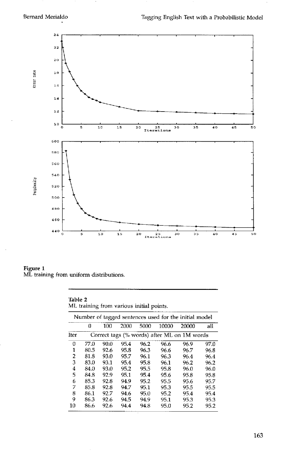

**Figure 1 ML training from uniform distributions.** 

**Table 2 ML training from various initial points.** 

|             | 0                                           | 100  | 2000 | 5000 | 10000 | 20000 | all  |  |
|-------------|---------------------------------------------|------|------|------|-------|-------|------|--|
| <b>Iter</b> | Correct tags (% words) after ML on 1M words |      |      |      |       |       |      |  |
| 0           | 77.0                                        | 90.0 | 95.4 | 96.2 | 96.6  | 96.9  | 97.0 |  |
| 1           | 80.5                                        | 92.6 | 95.8 | 96.3 | 96.6  | 96.7  | 96.8 |  |
| 2           | 81.8                                        | 93.0 | 95.7 | 96.1 | 96.3  | 96.4  | 96.4 |  |
| 3           | 83.0                                        | 93.1 | 95.4 | 95.8 | 96.1  | 96.2  | 96.2 |  |
| 4           | 84.0                                        | 93.0 | 95.2 | 95.5 | 95.8  | 96.0  | 96.0 |  |
| 5           | 84.8                                        | 92.9 | 95.1 | 95.4 | 95.6  | 95.8  | 95.8 |  |
| 6           | 85.3                                        | 92.8 | 94.9 | 95.2 | 95.5  | 95.6  | 95.7 |  |
| 7           | 85.8                                        | 92.8 | 94.7 | 95.1 | 95.3  | 95.5  | 95.5 |  |
| 8           | 86.1                                        | 92.7 | 94.6 | 95.0 | 95.2  | 95.4  | 95.4 |  |
| 9           | 86.3                                        | 92.6 | 94.5 | 94.9 | 95.1  | 95.3  | 95.3 |  |
| 10          | 86.6                                        | 92.6 | 94.4 | 94.8 | 95.0  | 95.2  | 95.2 |  |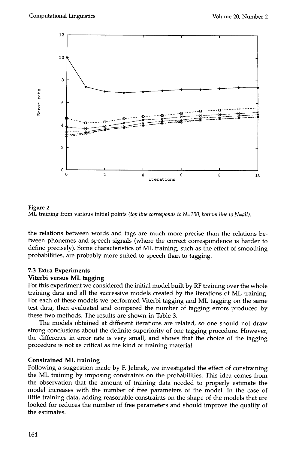



the relations between words and tags are much more precise than the relations between phonemes and speech signals (where the correct correspondence is harder to define precisely). Some characteristics of ML training, such as the effect of smoothing probabilities, are probably more suited to speech than to tagging.

# **7.3 Extra Experiments**

#### **Viterbi versus ML tagging**

For this experiment we considered the initial model built by RF training over the whole training data and all the successive models created by the iterations of ML training. For each of these models we performed Viterbi tagging and ML tagging on the same test data, then evaluated and compared the number of tagging errors produced by these two methods. The results are shown in Table 3.

The models obtained at different iterations are related, so one should not draw strong conclusions about the definite superiority of one tagging procedure. However, the difference in error rate is very small, and shows that the choice of the tagging procedure is not as critical as the kind of training material.

#### **Constrained ML training**

Following a suggestion made by E Jelinek, we investigated the effect of constraining the ML training by imposing constraints on the probabilities. This idea comes from the observation that the amount of training data needed to properly estimate the model increases with the number of free parameters of the model. In the case of little training data, adding reasonable constraints on the shape of the models that are looked for reduces the number of free parameters and should improve the quality of the estimates.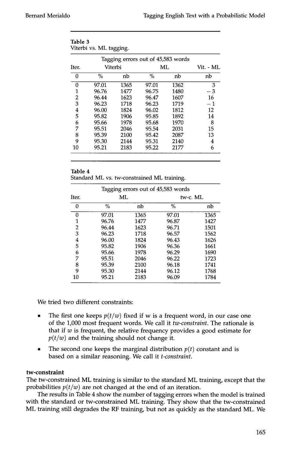|       |         |      | Tagging errors out of 45,583 words |      |           |
|-------|---------|------|------------------------------------|------|-----------|
| Iter. | Viterbi |      | ML                                 |      | Vit. - ML |
| 0     | $\%$    | nb   | $\%$                               | nb   | nb        |
| 0     | 97.01   | 1365 | 97.01                              | 1362 | 3         |
| 1     | 96.76   | 1477 | 96.75                              | 1480 | $-3$      |
| 2     | 96.44   | 1623 | 96.47                              | 1607 | 16        |
| 3     | 96.23   | 1718 | 96.23                              | 1719 | $-1$      |
| 4     | 96.00   | 1824 | 96.02                              | 1812 | 12        |
| 5     | 95.82   | 1906 | 95.85                              | 1892 | 14        |
| 6     | 95.66   | 1978 | 95.68                              | 1970 | 8         |
| 7     | 95.51   | 2046 | 95.54                              | 2031 | 15        |
| 8     | 95.39   | 2100 | 95.42                              | 2087 | 13        |
| 9     | 95.30   | 2144 | 95.31                              | 2140 | 4         |
| 10    | 95.21   | 2183 | 95.22                              | 2177 | 6         |

| Table 3                 |  |
|-------------------------|--|
| Viterbi vs. ML tagging. |  |

| Table 4 |                                             |  |
|---------|---------------------------------------------|--|
|         | Standard ML vs. tw-constrained ML training. |  |

| Tagging errors out of 45,583 words |       |      |          |      |  |
|------------------------------------|-------|------|----------|------|--|
| Iter.                              | ML    |      | tw-c. ML |      |  |
| 0                                  | $\%$  | nb   | $\%$     | nb   |  |
| 0                                  | 97.01 | 1365 | 97.01    | 1365 |  |
| 1                                  | 96.76 | 1477 | 96.87    | 1427 |  |
| 2                                  | 96.44 | 1623 | 96.71    | 1501 |  |
| 3                                  | 96.23 | 1718 | 96.57    | 1562 |  |
| 4                                  | 96.00 | 1824 | 96.43    | 1626 |  |
| 5                                  | 95.82 | 1906 | 96.36    | 1661 |  |
| 6                                  | 95.66 | 1978 | 96.29    | 1690 |  |
| 7                                  | 95.51 | 2046 | 96.22    | 1723 |  |
| 8                                  | 95.39 | 2100 | 96.18    | 1741 |  |
| 9                                  | 95.30 | 2144 | 96.12    | 1768 |  |
| 10                                 | 95.21 | 2183 | 96.09    | 1784 |  |

We tried two different constraints:

- The first one keeps  $p(t/w)$  fixed if w is a frequent word, in our case one of the 1,000 most frequent words. We call it *tw-constraint.* The rationale is that if  $w$  is frequent, the relative frequency provides a good estimate for  $p(t/w)$  and the training should not change it.
- The second one keeps the marginal distribution  $p(t)$  constant and is based on a similar reasoning. We call it *t-constraint.*

#### **tw-constraint**

The tw-constrained ML training is similar to the standard ML training, except that the probabilities  $p(t/w)$  are not changed at the end of an iteration.

The results in Table 4 show the number of tagging errors when the model is trained with the standard or tw-constrained ML training. They show that the tw-constrained ML training still degrades the RF training, but not as quickly as the standard ML. We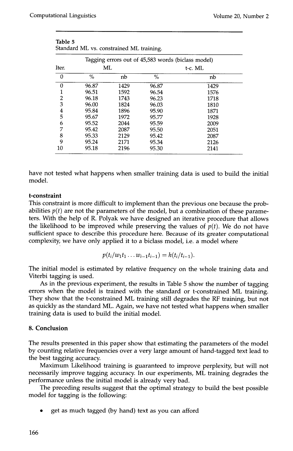|             |      | ັ     |                                                    |
|-------------|------|-------|----------------------------------------------------|
|             |      |       |                                                    |
| Iter.<br>ML |      |       | t-c. ML                                            |
| $\%$        | nb   | $\%$  | nb                                                 |
| 96.87       | 1429 | 96.87 | 1429                                               |
| 96.51       | 1592 | 96.54 | 1576                                               |
| 96.18       | 1743 | 96.23 | 1718                                               |
| 96.00       | 1824 | 96.03 | 1810                                               |
| 95.84       | 1896 | 95.90 | 1871                                               |
| 95.67       | 1972 | 95.77 | 1928                                               |
| 95.52       | 2044 | 95.59 | 2009                                               |
| 95.42       | 2087 | 95.50 | 2051                                               |
| 95.33       | 2129 | 95.42 | 2087                                               |
| 95.24       | 2171 | 95.34 | 2126                                               |
| 95.18       | 2196 | 95.30 | 2141                                               |
|             |      |       | Tagging errors out of 45,583 words (biclass model) |

| Table 5                                  |  |  |
|------------------------------------------|--|--|
| Standard ML vs. constrained ML training. |  |  |

have not tested what happens when smaller training data is used to build the initial model.

# **t-constraint**

This constraint is more difficult to implement than the previous one because the probabilities  $p(t)$  are not the parameters of the model, but a combination of these parameters. With the help of R. Polyak we have designed an iterative procedure that allows the likelihood to be improved while preserving the values of  $p(t)$ . We do not have sufficient space to describe this procedure here. Because of its greater computational complexity, we have only applied it to a biclass model, i.e. a model where

$$
p(t_i/w_1t_1...w_{i-1}t_{i-1})=h(t_i/t_{i-1}).
$$

The initial model is estimated by relative frequency on the whole training data and Viterbi tagging is used.

As in the previous experiment, the results in Table 5 show the number of tagging errors when the model is trained with the standard or t-constrained ML training. They show that the t-constrained ML training still degrades the RF training, but not as quickly as the standard ML. Again, we have not tested what happens when smaller training data is used to build the initial model.

# **8. Conclusion**

The results presented in this paper show that estimating the parameters of the model by counting relative frequencies over a very large amount of hand-tagged text lead to the best tagging accuracy.

Maximum Likelihood training is guaranteed to improve perplexity, but will not necessarily improve tagging accuracy. In our experiments, ML training degrades the performance unless the initial model is already very bad.

The preceding results suggest that the optimal strategy to build the best possible model for tagging is the following:

• get as much tagged (by hand) text as you can afford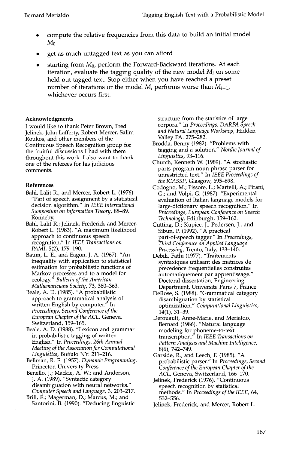- compute the relative frequencies from this data to build an initial model  $M_0$
- get as much untagged text as you can afford
- starting from  $M_0$ , perform the Forward-Backward iterations. At each iteration, evaluate the tagging quality of the new model *Mi* on some held-out tagged text. Stop either when you have reached a preset number of iterations or the model *Mi* performs worse than *Mi-1,*  whichever occurs first.

#### **Acknowledgments**

I would like to thank Peter Brown, Fred Jelinek, John Lafferty, Robert Mercer, Salim Roukos, and other members of the Continuous Speech Recognition group for the fruitful discussions I had with them throughout this work. I also want to thank one of the referees for his judicious comments.

#### **References**

- Bahl, Lalit R., and Mercer, Robert L. (1976). "Part of speech assignment by a statistical decision algorithm." In *IEEE International Symposium on Information Theory,* 88-89. Ronneby.
- Bahl, Lalit R.; Jelinek, Frederick and Mercer, Robert L. (1983). "A maximum likelihood approach to continuous speech recognition," In *IEEE Transactions on PAML* 5(2), 179-190.
- Baum, L. E., and Eagon, J. A. (1967). "An inequality with application to statistical estimation for probabilistic functions of Markov processes and to a model for ecology." *Bulletin of the American Mathematicians Society,* 73, 360-363.
- Beale, A. D. (1985). "A probabilistic approach to grammatical analysis of written English by computer." In *Proceedings, Second Conference of the European Chapter of the ACL,* Geneva, Switzerland, 159-165.
- Beale, A. D. (1988). "Lexicon and grammar in probabilistic tagging of written English." In *Proceedings, 26th Annual Meeting of the Association for Computational Linguistics,* Buffalo NY: 211-216.
- Bellman, R. E. (1957). *Dynamic Programming.*  Princeton University Press.
- Benello, J.; Mackie, A. W.; and Anderson, J. A. (1989). "Syntactic category disambiguation with neural networks." *Computer Speech and Language,* 3, 203-217.
- Brill, E.; Magerman, D.; Marcus, M.; and Santorini, B. (1990). "Deducing linguistic

structure from the statistics of large corpora." In *Proceedings, DARPA Speech and Natural Language Workshop,* Hidden Valley PA. 275-282.

- Brodda, Benny (1982). "Problems with tagging and a solution." *Nordic Journal of Linguistics,* 93-116.
- Church, Kenneth W. (1989). "A stochastic parts program noun phrase parser for unrestricted text." In *IEEE Proceedings of the ICASSP,* Glasgow, 695-698.
- Codogno, M.; Fissore, L.; Martelli, A.; Pirani, G.; and Volpi, G. (1987). "Experimental evaluation of Italian language models for large-dictionary speech recognition." In *Proceedings, European Conference on Speech Technology,* Edinburgh, 159-162.
- Cutting, D.; Kupiec, J.; Pedersen, J.; and Sibun, P. (1992). "A practical part-of-speech tagger." In *Proceedings, Third Conference on Applied Language Processing,* Trento, Italy, 133-140.
- Debili, Fathi (1977). "Traitements syntaxiques utilisant des matrices de precedence frequentielles construites automatiquement par apprentissage." Doctoral dissertation, Engineering Department, Universite Paris 7, France.
- DeRose, S. (1988). "Grammatical category disambiguation by statistical optimization." *Computational Linguistics,*  14(1), 31-39.
- Derouault, Anne-Marie, and Merialdo, Bernard (1986). "Natural language modeling for phoneme-to-text transcription." In *IEEE Transactions on Pattern Analysis and Machine Intelligence,*  8(6), 742-749.
- Garside, R., and Leech, F. (1985). "A probabilistic parser." In *Proceedings, Second Conference of the European Chapter of the ACL,* Geneva, Switzerland, 166-170.
- Jelinek, Frederick (1976). "Continuous speech recognition by statistical methods." In *Proceedings of the IEEE,* 64, 532-556.
- Jelinek, Frederick, and Mercer, Robert L.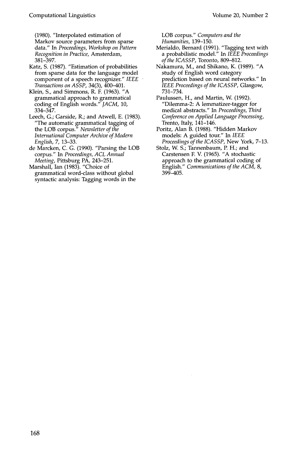(1980). "Interpolated estimation of Markov source parameters from sparse data." In *Proceedings, Workshop on Pattern Recognition in Practice,* Amsterdam, 381-397.

Katz, S. (1987). "Estimation of probabilities from sparse data for the language model component of a speech recognizer." *IEEE Transactions on ASSP,* 34(3), 400-401.

Klein, S., and Simmons, R. E (1963). "A grammatical approach to grammatical coding of English words." *JACM,* 10, 334-347.

Leech, G.; Garside, R.; and Atwell, E. (1983). "The automatic grammatical tagging of the LOB corpus." *Newsletter of the International Computer Archive of Modern English,* 7, 13-33.

de Marcken, C. G. (1990). "Parsing the LOB corpus." In *Proceedings, ACL Annual Meeting,* Pittsburg PA, 243-251.

Marshall, Ian (1983). "Choice of grammatical word-class without global syntactic analysis: Tagging words in the LOB corpus." *Computers and the Humanities,* 139-150.

- Merialdo, Bernard (1991). "Tagging text with a probabilistic model." In *IEEE Proceedings of the ICASSP,* Toronto, 809-812.
- Nakamura, M., and Shikano, K. (1989). "A study of English word category prediction based on neural networks." In *IEEE Proceedings of the ICASSP,* Glasgow, 731-734.

Paulussen, H., and Martin, W. (1992). "Dilemma-2: A lemmatizer-tagger for medical abstracts." In *Proceedings, Third Conference on Applied Language Processing,*  Trento, Italy, 141-146.

Poritz, Alan B. (1988). "Hidden Markov models: A guided tour." In *IEEE Proceedings of the ICASSP,* New York, 7-13.

Stolz, W. S.; Tannenbaum, P. H.; and Carstensen F. V. (1965). "A stochastic approach to the grammatical coding of English." *Communications of the ACM,* 8, 399-405.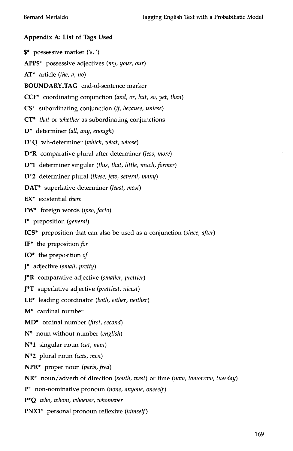# **Appendix A: List of Tags Used**

\$\* possessive marker ('s, ') APP\$\* possessive adjectives *(my, your, our)*  AT\* article *(the, a, no)*  BOUNDARY\_TAG end-of-sentence marker CCF\* coordinating conjunction *(and, or, but, so, yet, then)*  CS<sup>\*</sup> subordinating conjunction (*if, because, unless*) CT\* *that* or *whether* as subordinating conjunctions D\* determiner *(all, any, enough)*  D\*Q wh-determiner *(which, what, whose)*  D\*R comparative plural after-determiner *(less, more)*  D\*I determiner singular *(this, that, little, much, former)*  D\*2 determiner plural *(these, few, several, many)*  DAT\* superlative determiner *(least, most)*  EX\* existential *there*  FW\* foreign words *(ipso, facto)*  I\* preposition *(general)*  ICS\* preposition that can also be used as a conjunction *(since, after)*  IF\* the *preposition for*  IO\* the preposition *of*  J\* adjective *(small, pretty)*  J\*R comparative adjective *(smaller, prettier)*  J\*T superlative adjective *(prettiest, nicest)*  LE\* leading coordinator *(both, either, neither)*  M\* cardinal number MD\* ordinal number *(first, second)*  N\* noun without number *(english)*  N\*I singular noun *(cat, man)*  N\*2 plural noun *(cats, men)*  NPR\* proper noun *(paris, fred)*  NR\* noun/adverb of direction *(south, west)* or time *(now, tomorrow, tuesday)*  P\* non-nominative pronoun *(none, anyone, oneself)*  P\*Q *who, whom, whoever, whomever* 

PNXI\* personal pronoun reflexive *(himself)*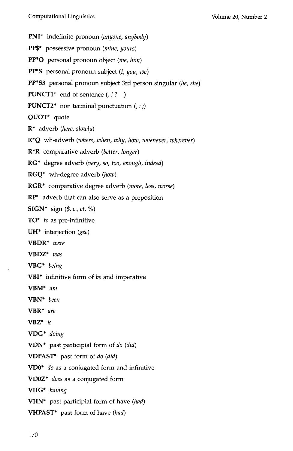PNI\* indefinite pronoun *(anyone, anybody)*  PP\$\* possessive pronoun *(mine, yours)*  PP\*O personal pronoun object *(me, him)*  PP\*S personal pronoun subject (I, *you, we)*  PP\*S3 personal pronoun subject 3rd person singular *(he, she)* **PUNCT1\*** end of sentence  $(. ? -)$ **PUNCT2\*** non terminal punctuation  $(, :;)$ QUOT\* quote R\* adverb *(here, slowly)*  R\*Q wh-adverb *(where, when, why, how, whenever, wherever)*  R\*R comparative adverb *(better, longer)*  RG\* degree adverb *(very, so, too, enough, indeed)*  RGQ\* wh-degree adverb *(how)*  RGR\* comparative degree adverb *(more, less, worse)*  RP\* adverb that can also serve as a preposition SIGN\* sign (\$, c., *ct, %)*  TO\* *to* as pre-infinitive  $UH^*$  interjection (gee) VBDR\* *were*  VBDZ\* *was*  VBG\* *being*  VBI\* infinitive form of *be* and imperative VBM\* *am*  VBN\* *been*  VBR\* *are*  VBZ\* *is*  VDG\* *doing*  VDN\* past participial form of *do (did)*  VDPAST\* past form of *do (did)*  VD0\* *do* as a conjugated form and infinitive VDOZ\* *does* as a conjugated form VHG\* *having*  VHN\* past participial form of have *(had)*  VHPAST\* past form of have *(had)*